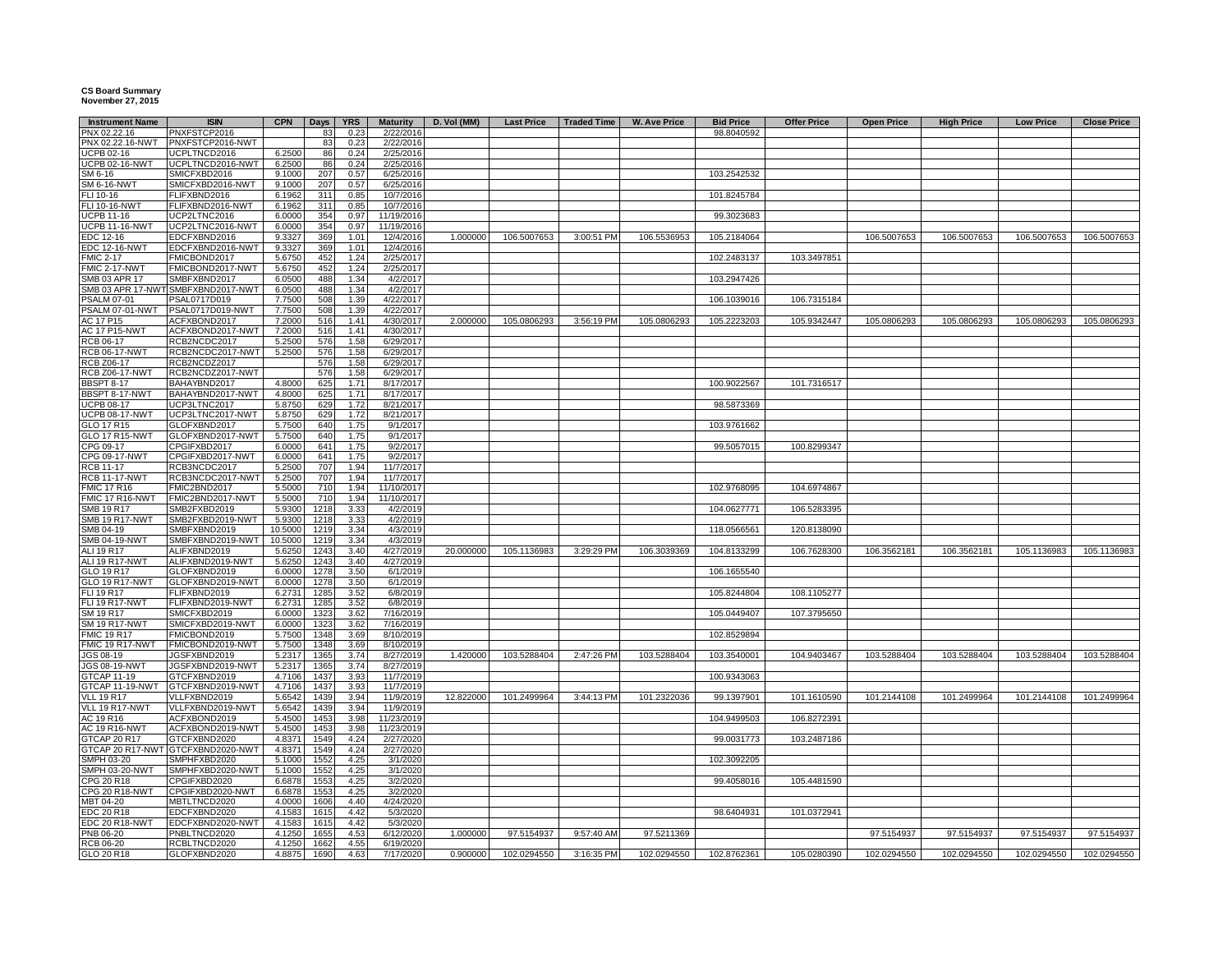## **CS Board Summary November 27, 2015**

|                                                | <b>ISIN</b>                      | <b>CPN</b>       |              | <b>YRS</b>   |                              |             |                   |                    |                     |                                |                    |                   |                   |                  |                    |
|------------------------------------------------|----------------------------------|------------------|--------------|--------------|------------------------------|-------------|-------------------|--------------------|---------------------|--------------------------------|--------------------|-------------------|-------------------|------------------|--------------------|
| <b>Instrument Name</b><br>PNX 02.22.16         | PNXFSTCP2016                     |                  | Days<br>83   | 0.23         | <b>Maturity</b><br>2/22/2016 | D. Vol (MM) | <b>Last Price</b> | <b>Traded Time</b> | <b>W. Ave Price</b> | <b>Bid Price</b><br>98.8040592 | <b>Offer Price</b> | <b>Open Price</b> | <b>High Price</b> | <b>Low Price</b> | <b>Close Price</b> |
| PNX 02.22.16-NWT                               | PNXFSTCP2016-NWT                 |                  | 83           | 0.23         | 2/22/2016                    |             |                   |                    |                     |                                |                    |                   |                   |                  |                    |
| <b>UCPB 02-16</b>                              | UCPLTNCD2016                     | 6.2500           | 86           | 0.24         | 2/25/2016                    |             |                   |                    |                     |                                |                    |                   |                   |                  |                    |
| <b>UCPB 02-16-NWT</b>                          | UCPLTNCD2016-NWT                 | 6.2500           | 86           | 0.24         | 2/25/2016                    |             |                   |                    |                     |                                |                    |                   |                   |                  |                    |
| SM 6-16                                        | SMICFXBD2016                     | 9.1000           | 207          | 0.57         | 6/25/2016                    |             |                   |                    |                     | 103.2542532                    |                    |                   |                   |                  |                    |
| SM 6-16-NWT                                    | SMICFXBD2016-NWT                 | 9.1000           | 207          | 0.57         | 6/25/2016                    |             |                   |                    |                     |                                |                    |                   |                   |                  |                    |
| FLI 10-16                                      | FLIFXBND2016                     | 6.1962           | 311          | 0.85         | 10/7/2016                    |             |                   |                    |                     | 101.8245784                    |                    |                   |                   |                  |                    |
| <b>FLI 10-16-NWT</b>                           | FLIFXBND2016-NWT                 | 6.1962           | 311          | 0.85         | 10/7/2016                    |             |                   |                    |                     |                                |                    |                   |                   |                  |                    |
| JCPB 11-16                                     | UCP2LTNC2016                     | 6.0000           | 354          | 0.97         | 11/19/2016                   |             |                   |                    |                     | 99.3023683                     |                    |                   |                   |                  |                    |
| JCPB 11-16-NWT                                 | UCP2LTNC2016-NWT                 | 6.0000           | 354          | 0.97         | 11/19/2016                   |             |                   |                    |                     |                                |                    |                   |                   |                  |                    |
| EDC 12-16<br><b>EDC 12-16-NWT</b>              | EDCFXBND2016<br>EDCFXBND2016-NWT | 9.3327<br>9.3327 | 369<br>369   | 1.01<br>1.01 | 12/4/2016<br>12/4/2016       | 1.000000    | 106.5007653       | 3:00:51 PM         | 106.5536953         | 105.2184064                    |                    | 106.5007653       | 106.5007653       | 106.5007653      | 106.5007653        |
| <b>FMIC 2-17</b>                               | FMICBOND2017                     | 5.6750           | 452          | 1.24         | 2/25/2017                    |             |                   |                    |                     | 102.2483137                    | 103.3497851        |                   |                   |                  |                    |
| FMIC 2-17-NWT                                  | FMICBOND2017-NWT                 | 5.6750           | 452          | 1.24         | 2/25/2017                    |             |                   |                    |                     |                                |                    |                   |                   |                  |                    |
| SMB 03 APR 17                                  | SMBFXBND2017                     | 6.0500           | 488          | 1.34         | 4/2/2017                     |             |                   |                    |                     | 103.2947426                    |                    |                   |                   |                  |                    |
| SMB 03 APR 17-NWT                              | SMBFXBND2017-NWT                 | 6.0500           | 488          | 1.34         | 4/2/2017                     |             |                   |                    |                     |                                |                    |                   |                   |                  |                    |
| <b>PSALM 07-01</b>                             | PSAL0717D019                     | 7.7500           | 508          | 1.39         | 4/22/2017                    |             |                   |                    |                     | 106.1039016                    | 106.7315184        |                   |                   |                  |                    |
| PSALM 07-01-NWT                                | PSAL0717D019-NWT                 | 7.7500           | 508          | 1.39         | 4/22/2017                    |             |                   |                    |                     |                                |                    |                   |                   |                  |                    |
| AC 17 P15                                      | ACFXBOND2017                     | 7.2000           | 516          | 1.41         | 4/30/2017                    | 2.000000    | 105.0806293       | 3:56:19 PM         | 105.0806293         | 105.2223203                    | 105.9342447        | 105.0806293       | 105.0806293       | 105.0806293      | 105.0806293        |
| <b>AC 17 P15-NWT</b>                           | ACFXBOND2017-NWT                 | 7.2000           | 516          | 1.41         | 4/30/2017                    |             |                   |                    |                     |                                |                    |                   |                   |                  |                    |
| RCB 06-17                                      | RCB2NCDC2017                     | 5.2500           | 576          | 1.58         | 6/29/2017                    |             |                   |                    |                     |                                |                    |                   |                   |                  |                    |
| <b>RCB 06-17-NWT</b>                           | RCB2NCDC2017-NWT                 | 5.2500           | 576          | 1.58         | 6/29/2017                    |             |                   |                    |                     |                                |                    |                   |                   |                  |                    |
| RCB Z06-17                                     | RCB2NCDZ2017                     |                  | 576          | 1.58         | 6/29/2017                    |             |                   |                    |                     |                                |                    |                   |                   |                  |                    |
| <b>RCB Z06-17-NWT</b><br><b>BBSPT 8-17</b>     | RCB2NCDZ2017-NWT<br>BAHAYBND2017 | 4.8000           | 576<br>625   | 1.58<br>1.71 | 6/29/2017<br>8/17/2017       |             |                   |                    |                     | 100.9022567                    | 101.7316517        |                   |                   |                  |                    |
| BBSPT 8-17-NWT                                 | BAHAYBND2017-NWT                 | 4.8000           | 625          | 1.71         | 8/17/2017                    |             |                   |                    |                     |                                |                    |                   |                   |                  |                    |
| JCPB 08-17                                     | UCP3LTNC2017                     | 5.8750           | 629          | 1.72         | 8/21/2017                    |             |                   |                    |                     | 98.5873369                     |                    |                   |                   |                  |                    |
| <b>UCPB 08-17-NWT</b>                          | UCP3LTNC2017-NWT                 | 5.8750           | 629          | 1.72         | 8/21/2017                    |             |                   |                    |                     |                                |                    |                   |                   |                  |                    |
| GLO 17 R15                                     | GLOFXBND2017                     | 5.7500           | 640          | 1.75         | 9/1/2017                     |             |                   |                    |                     | 103.9761662                    |                    |                   |                   |                  |                    |
| GLO 17 R15-NWT                                 | GLOFXBND2017-NWT                 | 5.7500           | 640          | 1.75         | 9/1/2017                     |             |                   |                    |                     |                                |                    |                   |                   |                  |                    |
| CPG 09-17                                      | CPGIFXBD2017                     | 6.0000           | 641          | 1.75         | 9/2/2017                     |             |                   |                    |                     | 99.5057015                     | 100.8299347        |                   |                   |                  |                    |
| CPG 09-17-NWT                                  | CPGIFXBD2017-NWT                 | 6.0000           | 641          | 1.75         | 9/2/2017                     |             |                   |                    |                     |                                |                    |                   |                   |                  |                    |
| RCB 11-17                                      | RCB3NCDC2017                     | 5.2500           | 707          | 1.94         | 11/7/2017                    |             |                   |                    |                     |                                |                    |                   |                   |                  |                    |
| <b>RCB 11-17-NWT</b>                           | RCB3NCDC2017-NWT                 | 5.2500           | 707          | 1.94         | 11/7/2017                    |             |                   |                    |                     |                                |                    |                   |                   |                  |                    |
| <b>FMIC 17 R16</b>                             | FMIC2BND2017                     | 5.5000           | 710          | 1.94         | 11/10/2017                   |             |                   |                    |                     | 102.9768095                    | 104.6974867        |                   |                   |                  |                    |
| FMIC 17 R16-NWT<br>SMB 19 R17                  | FMIC2BND2017-NWT<br>SMB2FXBD2019 | 5.5000<br>5.9300 | 710<br>1218  | 1.94<br>3.33 | 11/10/2017<br>4/2/2019       |             |                   |                    |                     | 104.0627771                    | 106.5283395        |                   |                   |                  |                    |
| SMB 19 R17-NWT                                 | SMB2FXBD2019-NWT                 | 5.9300           | 1218         | 3.33         | 4/2/2019                     |             |                   |                    |                     |                                |                    |                   |                   |                  |                    |
| SMB 04-19                                      | SMBFXBND2019                     | 10.5000          | 1219         | 3.34         | 4/3/2019                     |             |                   |                    |                     | 118.0566561                    | 120.8138090        |                   |                   |                  |                    |
| SMB 04-19-NWT                                  | SMBFXBND2019-NWT                 | 10.5000          | 1219         | 3.34         | 4/3/2019                     |             |                   |                    |                     |                                |                    |                   |                   |                  |                    |
| ALI 19 R17                                     | ALIFXBND2019                     | 5.6250           | 1243         | 3.40         | 4/27/2019                    | 20.000000   | 105.1136983       | 3:29:29 PM         | 106.3039369         | 104.8133299                    | 106.7628300        | 106.3562181       | 106.3562181       | 105.1136983      | 105.1136983        |
| <b>ALI 19 R17-NWT</b>                          | ALIFXBND2019-NWT                 | 5.6250           | 1243         | 3.40         | 4/27/2019                    |             |                   |                    |                     |                                |                    |                   |                   |                  |                    |
| GLO 19 R17                                     | GLOFXBND2019                     | 6.0000           | 1278         | 3.5C         | 6/1/2019                     |             |                   |                    |                     | 106.1655540                    |                    |                   |                   |                  |                    |
| <b>GLO 19 R17-NWT</b>                          | GLOFXBND2019-NWT                 | 6.0000           | 1278         | 3.5C         | 6/1/2019                     |             |                   |                    |                     |                                |                    |                   |                   |                  |                    |
| <b>FLI 19 R17</b>                              | FLIFXBND2019                     | 6.2731           | 1285         | 3.52         | 6/8/2019                     |             |                   |                    |                     | 105.8244804                    | 108.1105277        |                   |                   |                  |                    |
| <b>FLI 19 R17-NWT</b>                          | FLIFXBND2019-NWT                 | 6.2731           | 1285         | 3.52         | 6/8/2019                     |             |                   |                    |                     |                                |                    |                   |                   |                  |                    |
| SM 19 R17                                      | SMICFXBD2019                     | 6.0000           | 132          | 3.62         | 7/16/2019                    |             |                   |                    |                     | 105.0449407                    | 107.3795650        |                   |                   |                  |                    |
| SM 19 R17-NWT<br><b>FMIC 19 R17</b>            | SMICFXBD2019-NWT<br>FMICBOND2019 | 6.0000<br>5.7500 | 1323<br>1348 | 3.62<br>3.69 | 7/16/2019<br>8/10/2019       |             |                   |                    |                     | 102.8529894                    |                    |                   |                   |                  |                    |
| FMIC 19 R17-NWT                                | FMICBOND2019-NWT                 | 5.7500           | 1348         | 3.69         | 8/10/2019                    |             |                   |                    |                     |                                |                    |                   |                   |                  |                    |
| JGS 08-19                                      | JGSFXBND2019                     | 5.2317           | 1365         | 3.74         | 8/27/2019                    | 1.420000    | 103.5288404       | 2:47:26 PM         | 103.5288404         | 103.3540001                    | 104.9403467        | 103.5288404       | 103.5288404       | 103.5288404      | 103.5288404        |
| JGS 08-19-NWT                                  | JGSFXBND2019-NWT                 | 5.2317           | 1365         | 3.74         | 8/27/2019                    |             |                   |                    |                     |                                |                    |                   |                   |                  |                    |
| <b>GTCAP 11-19</b>                             | GTCFXBND2019                     | 4.7106           | 1437         | 3.93         | 11/7/2019                    |             |                   |                    |                     | 100.9343063                    |                    |                   |                   |                  |                    |
| <b>GTCAP 11-19-NWT</b>                         | GTCFXBND2019-NWT                 | 4.7106           | 1437         | 3.93         | 11/7/2019                    |             |                   |                    |                     |                                |                    |                   |                   |                  |                    |
| <b>VLL 19 R17</b>                              | VLLFXBND2019                     | 5.6542           | 1439         | 3.94         | 11/9/2019                    | 12,822000   | 101.2499964       | 3:44:13 PM         | 101.2322036         | 99.1397901                     | 101.1610590        | 101.2144108       | 101.2499964       | 101.2144108      | 101.2499964        |
| VLL 19 R17-NWT                                 | VLLFXBND2019-NWT                 | 5.6542           | 1439         | 3.94         | 11/9/2019                    |             |                   |                    |                     |                                |                    |                   |                   |                  |                    |
| AC 19 R16                                      | ACFXBOND2019                     | 5.4500           | 1453         | 3.98         | 11/23/2019                   |             |                   |                    |                     | 104.9499503                    | 106.8272391        |                   |                   |                  |                    |
| AC 19 R16-NWT                                  | ACFXBOND2019-NWT                 | 5.4500           | 1453         | 3.98         | 11/23/2019                   |             |                   |                    |                     |                                |                    |                   |                   |                  |                    |
| <b>STCAP 20 R17</b><br><b>GTCAP 20 R17-NWT</b> | GTCFXBND2020<br>GTCFXBND2020-NWT | 4.8371<br>4.8371 | 1549<br>1549 | 4.24<br>4.24 | 2/27/2020<br>2/27/2020       |             |                   |                    |                     | 99.0031773                     | 103.2487186        |                   |                   |                  |                    |
| SMPH 03-20                                     | SMPHFXBD2020                     | 5.1000           | 1552         | 4.25         | 3/1/2020                     |             |                   |                    |                     | 102.3092205                    |                    |                   |                   |                  |                    |
| SMPH 03-20-NWT                                 | SMPHFXBD2020-NWT                 | 5.1000           | 1552         | 4.25         | 3/1/2020                     |             |                   |                    |                     |                                |                    |                   |                   |                  |                    |
| CPG 20 R18                                     | CPGIFXBD2020                     | 6.6878           | 1553         | 4.25         | 3/2/2020                     |             |                   |                    |                     | 99.4058016                     | 105.4481590        |                   |                   |                  |                    |
| CPG 20 R18-NWT                                 | CPGIFXBD2020-NWT                 | 6.6878           | 1553         | 4.25         | 3/2/2020                     |             |                   |                    |                     |                                |                    |                   |                   |                  |                    |
| MBT 04-20                                      | MBTLTNCD2020                     | 4.0000           | 1606         | 4.40         | 4/24/2020                    |             |                   |                    |                     |                                |                    |                   |                   |                  |                    |
| EDC 20 R18                                     | EDCFXBND2020                     | 4.1583           | 1615         | 4.42         | 5/3/2020                     |             |                   |                    |                     | 98.6404931                     | 101.0372941        |                   |                   |                  |                    |
| EDC 20 R18-NWT                                 | EDCFXBND2020-NWT                 | 4.1583           | 1615         | 4.42         | 5/3/2020                     |             |                   |                    |                     |                                |                    |                   |                   |                  |                    |
| PNB 06-20                                      | PNBLTNCD2020                     | 4.1250           | 1655         | 4.53         | 6/12/2020                    | 1.000000    | 97.5154937        | 9:57:40 AM         | 97.5211369          |                                |                    | 97.5154937        | 97.5154937        | 97.5154937       | 97.5154937         |
| <b>RCB 06-20</b>                               | RCBLTNCD2020                     | 4.1250           | 1662         | 4.55         | 6/19/2020                    |             |                   |                    |                     |                                |                    |                   |                   |                  |                    |
| GLO 20 R18                                     | GLOFXBND2020                     | 4.8875           | 1690         | 4.63         | 7/17/2020                    | 0.900000    | 102.0294550       | 3:16:35 PM         | 102.0294550         | 102.8762361                    | 105.0280390        | 102.0294550       | 102.0294550       | 102.0294550      | 102.0294550        |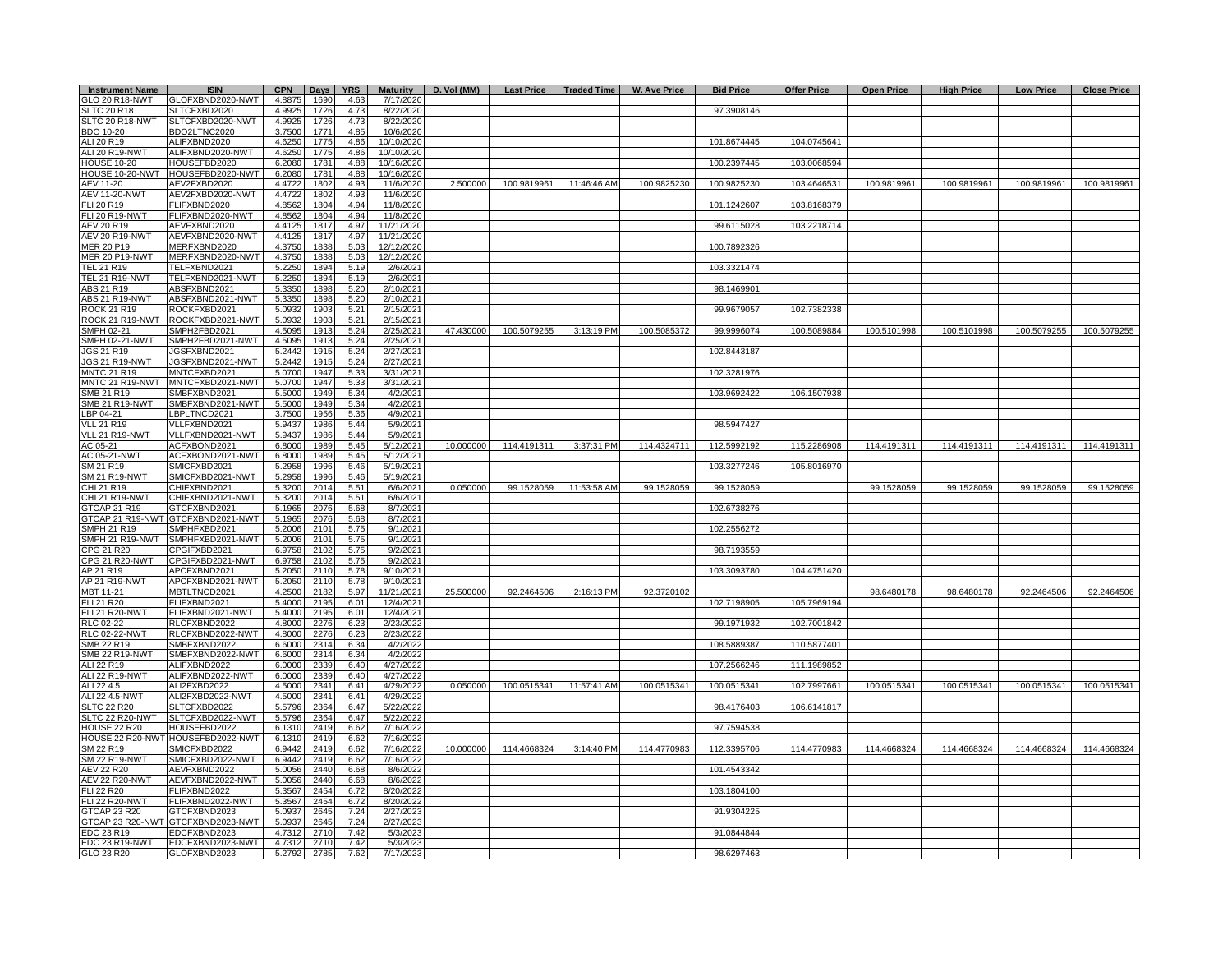| <b>Instrument Name</b>                     | <b>ISIN</b>                      | <b>CPN</b>       | <b>Days</b>  | <b>YRS</b>   | <b>Maturity</b>        | D. Vol (MM) | <b>Last Price</b> | <b>Traded Time</b> | <b>W. Ave Price</b> | <b>Bid Price</b> | <b>Offer Price</b> | <b>Open Price</b> | <b>High Price</b> | <b>Low Price</b> | <b>Close Price</b> |
|--------------------------------------------|----------------------------------|------------------|--------------|--------------|------------------------|-------------|-------------------|--------------------|---------------------|------------------|--------------------|-------------------|-------------------|------------------|--------------------|
| GLO 20 R18-NWT                             | GLOFXBND2020-NWT                 | 4.8875           | 1690         | 4.63         | 7/17/2020              |             |                   |                    |                     |                  |                    |                   |                   |                  |                    |
| <b>SLTC 20 R18</b>                         | SLTCFXBD2020                     | 4.9925<br>4.9925 | 1726         | 4.73<br>4.73 | 8/22/2020              |             |                   |                    |                     | 97.3908146       |                    |                   |                   |                  |                    |
| SLTC 20 R18-NWT<br>BDO 10-20               | SLTCFXBD2020-NWT<br>BDO2LTNC2020 | 3.7500           | 1726<br>1771 | 4.85         | 8/22/2020<br>10/6/2020 |             |                   |                    |                     |                  |                    |                   |                   |                  |                    |
| ALI 20 R19                                 | ALIFXBND2020                     | 4.6250           | 1775         | 4.86         | 10/10/2020             |             |                   |                    |                     | 101.8674445      | 104.0745641        |                   |                   |                  |                    |
| <b>ALI 20 R19-NWT</b>                      | ALIFXBND2020-NWT                 | 4.6250           | 1775         | 4.86         | 10/10/2020             |             |                   |                    |                     |                  |                    |                   |                   |                  |                    |
| <b>HOUSE 10-20</b>                         | HOUSEFBD2020                     | 6.2080           | 1781         | 4.88         | 10/16/2020             |             |                   |                    |                     | 100.2397445      | 103.0068594        |                   |                   |                  |                    |
| HOUSE 10-20-NWT                            | HOUSEFBD2020-NWT                 | 6.2080           | 1781         | 4.88         | 10/16/2020             |             |                   |                    |                     |                  |                    |                   |                   |                  |                    |
| AEV 11-20                                  | AEV2FXBD2020                     | 4.4722           | 1802         | 4.93<br>4.93 | 11/6/2020              | 2.500000    | 100.9819961       | 11:46:46 AM        | 100.9825230         | 100.9825230      | 103.4646531        | 100.9819961       | 100.9819961       | 100.9819961      | 100.9819961        |
| <b>AEV 11-20-NWT</b><br>FLI 20 R19         | AEV2FXBD2020-NWT<br>FLIFXBND2020 | 4.4722<br>4.8562 | 1802<br>1804 | 4.94         | 11/6/2020<br>11/8/2020 |             |                   |                    |                     | 101.1242607      | 103.8168379        |                   |                   |                  |                    |
| <b>FLI 20 R19-NWT</b>                      | FLIFXBND2020-NWT                 | 4.8562           | 1804         | 4.94         | 11/8/2020              |             |                   |                    |                     |                  |                    |                   |                   |                  |                    |
| AEV 20 R19                                 | AEVFXBND2020                     | 4.4125           | 1817         | 4.97         | 11/21/2020             |             |                   |                    |                     | 99.6115028       | 103.2218714        |                   |                   |                  |                    |
| AEV 20 R19-NWT                             | AEVFXBND2020-NWT                 | 4.4125           | 1817         | 4.97         | 11/21/2020             |             |                   |                    |                     |                  |                    |                   |                   |                  |                    |
| <b>MER 20 P19</b>                          | MERFXBND2020                     | 4.3750           | 1838         | 5.03         | 12/12/2020             |             |                   |                    |                     | 100.7892326      |                    |                   |                   |                  |                    |
| <b>MER 20 P19-NWT</b><br><b>TEL 21 R19</b> | MERFXBND2020-NWT<br>TELFXBND2021 | 4.3750<br>5.2250 | 1838<br>1894 | 5.03<br>5.19 | 12/12/2020<br>2/6/2021 |             |                   |                    |                     | 103.3321474      |                    |                   |                   |                  |                    |
| <b>TEL 21 R19-NWT</b>                      | TELFXBND2021-NWT                 | 5.2250           | 1894         | 5.19         | 2/6/2021               |             |                   |                    |                     |                  |                    |                   |                   |                  |                    |
| ABS 21 R19                                 | ABSFXBND2021                     | 5.3350           | 1898         | 5.20         | 2/10/2021              |             |                   |                    |                     | 98.1469901       |                    |                   |                   |                  |                    |
| <b>ABS 21 R19-NWT</b>                      | ABSFXBND2021-NWT                 | 5.3350           | 1898         | 5.20         | 2/10/2021              |             |                   |                    |                     |                  |                    |                   |                   |                  |                    |
| ROCK 21 R19                                | ROCKFXBD2021                     | 5.0932           | 1903         | 5.21         | 2/15/2021              |             |                   |                    |                     | 99.9679057       | 102.7382338        |                   |                   |                  |                    |
| ROCK 21 R19-NWT                            | ROCKFXBD2021-NWT                 | 5.0932           | 1903         | 5.21         | 2/15/2021              |             |                   |                    |                     |                  |                    |                   |                   |                  |                    |
| SMPH 02-21<br>SMPH 02-21-NWT               | SMPH2FBD2021<br>SMPH2FBD2021-NWT | 4.5095<br>4.5095 | 1913<br>1913 | 5.24         | 2/25/2021<br>2/25/2021 | 47.430000   | 100.5079255       | 3:13:19 PM         | 100.5085372         | 99.9996074       | 100.5089884        | 100.5101998       | 100.5101998       | 100.5079255      | 100.5079255        |
| JGS 21 R19                                 | JGSFXBND2021                     | 5.2442           | 1915         | 5.24<br>5.24 | 2/27/2021              |             |                   |                    |                     | 102.8443187      |                    |                   |                   |                  |                    |
| JGS 21 R19-NWT                             | JGSFXBND2021-NWT                 | 5.2442           | 1915         | 5.24         | 2/27/2021              |             |                   |                    |                     |                  |                    |                   |                   |                  |                    |
| <b>MNTC 21 R19</b>                         | MNTCFXBD2021                     | 5.0700           | 1947         | 5.33         | 3/31/2021              |             |                   |                    |                     | 102.3281976      |                    |                   |                   |                  |                    |
| MNTC 21 R19-NWT                            | MNTCFXBD2021-NWT                 | 5.0700           | 1947         | 5.33         | 3/31/2021              |             |                   |                    |                     |                  |                    |                   |                   |                  |                    |
| SMB 21 R19                                 | SMBFXBND2021                     | 5.5000           | 1949         | 5.34         | 4/2/2021               |             |                   |                    |                     | 103.9692422      | 106.1507938        |                   |                   |                  |                    |
| SMB 21 R19-NWT                             | SMBFXBND2021-NWT                 | 5.5000           | 1949<br>1956 | 5.34         | 4/2/2021               |             |                   |                    |                     |                  |                    |                   |                   |                  |                    |
| LBP 04-21<br><b>VLL 21 R19</b>             | LBPLTNCD2021<br>VLLFXBND2021     | 3.7500<br>5.9437 | 1986         | 5.36<br>5.44 | 4/9/2021<br>5/9/2021   |             |                   |                    |                     | 98.5947427       |                    |                   |                   |                  |                    |
| VLL 21 R19-NWT                             | VLLFXBND2021-NWT                 | 5.9437           | 1986         | 5.44         | 5/9/2021               |             |                   |                    |                     |                  |                    |                   |                   |                  |                    |
| AC 05-21                                   | ACFXBOND2021                     | 6.8000           | 1989         | 5.45         | 5/12/2021              | 10.000000   | 114.4191311       | 3:37:31 PM         | 114.4324711         | 112.5992192      | 115.2286908        | 114.4191311       | 114.4191311       | 114.4191311      | 114.4191311        |
| AC 05-21-NWT                               | ACFXBOND2021-NWT                 | 6.8000           | 1989         | 5.45         | 5/12/2021              |             |                   |                    |                     |                  |                    |                   |                   |                  |                    |
| SM 21 R19                                  | SMICFXBD2021                     | 5.2958           | 1996         | 5.46         | 5/19/2021              |             |                   |                    |                     | 103.3277246      | 105.8016970        |                   |                   |                  |                    |
| SM 21 R19-NWT                              | SMICFXBD2021-NWT                 | 5.2958           | 1996         | 5.46         | 5/19/2021              |             |                   |                    |                     |                  |                    |                   |                   |                  |                    |
| CHI 21 R19<br>CHI 21 R19-NWT               | CHIFXBND2021<br>CHIFXBND2021-NWT | 5.3200<br>5.3200 | 2014<br>2014 | 5.51<br>5.51 | 6/6/2021<br>6/6/2021   | 0.050000    | 99.1528059        | 11:53:58 AM        | 99.1528059          | 99.1528059       |                    | 99.1528059        | 99.1528059        | 99.1528059       | 99.1528059         |
| GTCAP 21 R19                               | GTCFXBND2021                     | 5.1965           | 2076         | 5.68         | 8/7/2021               |             |                   |                    |                     | 102.6738276      |                    |                   |                   |                  |                    |
| GTCAP 21 R19-NWT                           | GTCFXBND2021-NWT                 | 5.1965           | 2076         | 5.68         | 8/7/2021               |             |                   |                    |                     |                  |                    |                   |                   |                  |                    |
| <b>SMPH 21 R19</b>                         | SMPHFXBD2021                     | 5.2006           | 2101         | 5.75         | 9/1/2021               |             |                   |                    |                     | 102.2556272      |                    |                   |                   |                  |                    |
| SMPH 21 R19-NWT                            | SMPHFXBD2021-NWT                 | 5.2006           | 2101         | 5.75         | 9/1/2021               |             |                   |                    |                     |                  |                    |                   |                   |                  |                    |
| CPG 21 R20<br>CPG 21 R20-NWT               | CPGIFXBD2021<br>CPGIFXBD2021-NWT | 6.9758<br>6.9758 | 2102<br>2102 | 5.75<br>5.75 | 9/2/2021<br>9/2/2021   |             |                   |                    |                     | 98.7193559       |                    |                   |                   |                  |                    |
| AP 21 R19                                  | APCFXBND2021                     | 5.2050           | 2110         | 5.78         | 9/10/2021              |             |                   |                    |                     | 103.3093780      | 104.4751420        |                   |                   |                  |                    |
| AP 21 R19-NWT                              | APCFXBND2021-NWT                 | 5.2050           | 2110         | 5.78         | 9/10/2021              |             |                   |                    |                     |                  |                    |                   |                   |                  |                    |
| MBT 11-21                                  | MBTLTNCD2021                     | 4.2500           | 2182         | 5.97         | 11/21/2021             | 25.500000   | 92.2464506        | 2:16:13 PM         | 92.3720102          |                  |                    | 98.6480178        | 98.6480178        | 92.2464506       | 92.2464506         |
| FLI 21 R20                                 | <b>LIFXBND2021</b>               | 5.4000           | 2195         | 6.01         | 12/4/2021              |             |                   |                    |                     | 102.7198905      | 105.7969194        |                   |                   |                  |                    |
| <b>FLI 21 R20-NWT</b>                      | <b>ELIFXBND2021-NWT</b>          | 5.4000           | 2195         | 6.01         | 12/4/2021              |             |                   |                    |                     |                  |                    |                   |                   |                  |                    |
| <b>RLC 02-22</b><br><b>RLC 02-22-NWT</b>   | RLCFXBND2022<br>RLCFXBND2022-NWT | 4.8000<br>4.8000 | 2276<br>2276 | 6.23         | 2/23/202<br>2/23/2022  |             |                   |                    |                     | 99.1971932       | 102.7001842        |                   |                   |                  |                    |
| SMB 22 R19                                 | SMBFXBND2022                     | 6.6000           | 2314         | 6.23<br>6.34 | 4/2/2022               |             |                   |                    |                     | 108.5889387      | 110.5877401        |                   |                   |                  |                    |
| <b>SMB 22 R19-NWT</b>                      | SMBFXBND2022-NWT                 | 6.6000           | 2314         | 6.34         | 4/2/2022               |             |                   |                    |                     |                  |                    |                   |                   |                  |                    |
| ALI 22 R19                                 | ALIFXBND2022                     | 6.0000           | 2339         | 6.40         | 4/27/2022              |             |                   |                    |                     | 107.2566246      | 111.1989852        |                   |                   |                  |                    |
| ALI 22 R19-NWT                             | ALIFXBND2022-NWT                 | 6.0000           | 2339         | 6.40         | 4/27/2022              |             |                   |                    |                     |                  |                    |                   |                   |                  |                    |
| ALI 22 4.5                                 | ALI2FXBD2022                     | 4.5000           | 2341         | 6.41         | 4/29/2022              | 0.050000    | 100.0515341       | 11:57:41 AM        | 100.0515341         | 100.0515341      | 102.7997661        | 100.0515341       | 100.0515341       | 100.0515341      | 100.0515341        |
| ALI 22 4.5-NWT<br><b>SLTC 22 R20</b>       | ALI2FXBD2022-NWT<br>SLTCFXBD2022 | 4.5000<br>5.5796 | 2341<br>2364 | 6.41<br>6.47 | 4/29/2022<br>5/22/2022 |             |                   |                    |                     | 98.4176403       | 106.6141817        |                   |                   |                  |                    |
| SLTC 22 R20-NWT                            | SLTCFXBD2022-NWT                 | 5.5796           | 2364         | 6.47         | 5/22/2022              |             |                   |                    |                     |                  |                    |                   |                   |                  |                    |
| <b>HOUSE 22 R20</b>                        | HOUSEFBD2022                     | 6.1310           | 2419         | 6.62         | 7/16/2022              |             |                   |                    |                     | 97.7594538       |                    |                   |                   |                  |                    |
| HOUSE 22 R20-NWT                           | HOUSEFBD2022-NWT                 | 6.1310           | 2419         | 6.62         | 7/16/2022              |             |                   |                    |                     |                  |                    |                   |                   |                  |                    |
| SM 22 R19                                  | SMICFXBD2022                     | 6.9442           | 2419         | 6.62         | 7/16/2022              | 10.000000   | 114.4668324       | 3:14:40 PM         | 114.4770983         | 112.3395706      | 114.4770983        | 114.4668324       | 114.4668324       | 114.4668324      | 114.4668324        |
| SM 22 R19-NWT                              | SMICFXBD2022-NWT                 | 6.9442           | 2419         | 6.62         | 7/16/2022              |             |                   |                    |                     |                  |                    |                   |                   |                  |                    |
| AEV 22 R20                                 | AEVFXBND2022                     | 5.0056           | 2440         | 6.68         | 8/6/2022               |             |                   |                    |                     | 101.4543342      |                    |                   |                   |                  |                    |
| AEV 22 R20-NWT<br><b>FLI 22 R20</b>        | AEVFXBND2022-NWT<br>FLIFXBND2022 | 5.0056<br>5.3567 | 2440<br>2454 | 6.68<br>6.72 | 8/6/2022<br>8/20/2022  |             |                   |                    |                     | 103.1804100      |                    |                   |                   |                  |                    |
| <b>FLI 22 R20-NWT</b>                      | FLIFXBND2022-NWT                 | 5.3567           | 2454         | 6.72         | 8/20/2022              |             |                   |                    |                     |                  |                    |                   |                   |                  |                    |
| GTCAP 23 R20                               | GTCFXBND2023                     | 5.0937           | 2645         | 7.24         | 2/27/2023              |             |                   |                    |                     | 91.9304225       |                    |                   |                   |                  |                    |
| GTCAP 23 R20-NWT                           | GTCFXBND2023-NWT                 | 5.0937           | 2645         | 7.24         | 2/27/2023              |             |                   |                    |                     |                  |                    |                   |                   |                  |                    |
| EDC 23 R19                                 | EDCFXBND2023                     | 4.7312           | 2710         | 7.42         | 5/3/2023               |             |                   |                    |                     | 91.0844844       |                    |                   |                   |                  |                    |
| EDC 23 R19-NWT                             | EDCFXBND2023-NWT                 | 4.7312           | 2710         | 7.42         | 5/3/2023               |             |                   |                    |                     |                  |                    |                   |                   |                  |                    |
| GLO 23 R20                                 | GLOFXBND2023                     | 5.2792           | 2785         | 7.62         | 7/17/2023              |             |                   |                    |                     | 98.6297463       |                    |                   |                   |                  |                    |